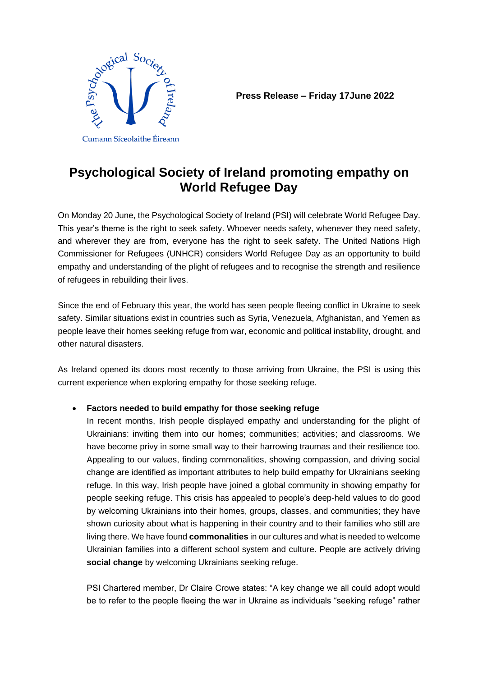

**Press Release – Friday 17June 2022**

# **Psychological Society of Ireland promoting empathy on World Refugee Day**

On Monday 20 June, the Psychological Society of Ireland (PSI) will celebrate World Refugee Day. This year's theme is the right to seek safety. Whoever needs safety, whenever they need safety, and wherever they are from, everyone has the right to seek safety. The United Nations High Commissioner for Refugees (UNHCR) considers World Refugee Day as an opportunity to build empathy and understanding of the plight of refugees and to recognise the strength and resilience of refugees in rebuilding their lives.

Since the end of February this year, the world has seen people fleeing conflict in Ukraine to seek safety. Similar situations exist in countries such as Syria, Venezuela, Afghanistan, and Yemen as people leave their homes seeking refuge from war, economic and political instability, drought, and other natural disasters.

As Ireland opened its doors most recently to those arriving from Ukraine, the PSI is using this current experience when exploring empathy for those seeking refuge.

## • **Factors needed to build empathy for those seeking refuge**

In recent months, Irish people displayed empathy and understanding for the plight of Ukrainians: inviting them into our homes; communities; activities; and classrooms. We have become privy in some small way to their harrowing traumas and their resilience too. Appealing to our values, finding commonalities, showing compassion, and driving social change are identified as important attributes to help build empathy for Ukrainians seeking refuge. In this way, Irish people have joined a global community in showing empathy for people seeking refuge. This crisis has appealed to people's deep-held values to do good by welcoming Ukrainians into their homes, groups, classes, and communities; they have shown curiosity about what is happening in their country and to their families who still are living there. We have found **commonalities** in our cultures and what is needed to welcome Ukrainian families into a different school system and culture. People are actively driving **social change** by welcoming Ukrainians seeking refuge.

PSI Chartered member, Dr Claire Crowe states: "A key change we all could adopt would be to refer to the people fleeing the war in Ukraine as individuals "seeking refuge" rather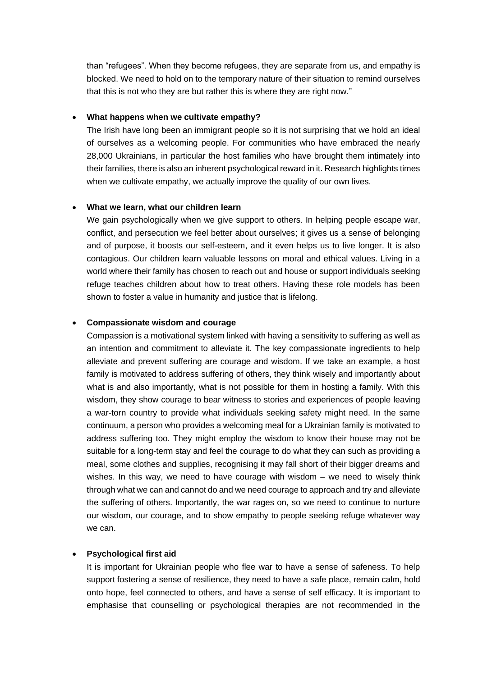than "refugees". When they become refugees, they are separate from us, and empathy is blocked. We need to hold on to the temporary nature of their situation to remind ourselves that this is not who they are but rather this is where they are right now."

#### • **What happens when we cultivate empathy?**

The Irish have long been an immigrant people so it is not surprising that we hold an ideal of ourselves as a welcoming people. For communities who have embraced the nearly 28,000 Ukrainians, in particular the host families who have brought them intimately into their families, there is also an inherent psychological reward in it. Research highlights times when we cultivate empathy, we actually improve the quality of our own lives.

#### • **What we learn, what our children learn**

We gain psychologically when we give support to others. In helping people escape war, conflict, and persecution we feel better about ourselves; it gives us a sense of belonging and of purpose, it boosts our self-esteem, and it even helps us to live longer. It is also contagious. Our children learn valuable lessons on moral and ethical values. Living in a world where their family has chosen to reach out and house or support individuals seeking refuge teaches children about how to treat others. Having these role models has been shown to foster a value in humanity and justice that is lifelong.

### • **Compassionate wisdom and courage**

Compassion is a motivational system linked with having a sensitivity to suffering as well as an intention and commitment to alleviate it. The key compassionate ingredients to help alleviate and prevent suffering are courage and wisdom. If we take an example, a host family is motivated to address suffering of others, they think wisely and importantly about what is and also importantly, what is not possible for them in hosting a family. With this wisdom, they show courage to bear witness to stories and experiences of people leaving a war-torn country to provide what individuals seeking safety might need. In the same continuum, a person who provides a welcoming meal for a Ukrainian family is motivated to address suffering too. They might employ the wisdom to know their house may not be suitable for a long-term stay and feel the courage to do what they can such as providing a meal, some clothes and supplies, recognising it may fall short of their bigger dreams and wishes. In this way, we need to have courage with wisdom – we need to wisely think through what we can and cannot do and we need courage to approach and try and alleviate the suffering of others. Importantly, the war rages on, so we need to continue to nurture our wisdom, our courage, and to show empathy to people seeking refuge whatever way we can.

#### • **Psychological first aid**

It is important for Ukrainian people who flee war to have a sense of safeness. To help support fostering a sense of resilience, they need to have a safe place, remain calm, hold onto hope, feel connected to others, and have a sense of self efficacy. It is important to emphasise that counselling or psychological therapies are not recommended in the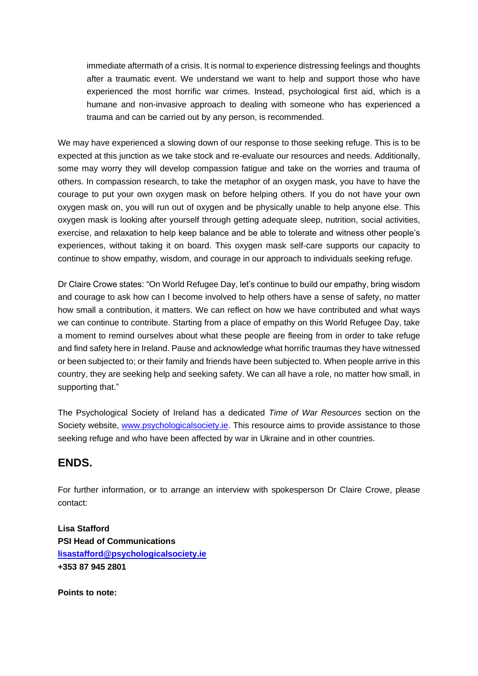immediate aftermath of a crisis. It is normal to experience distressing feelings and thoughts after a traumatic event. We understand we want to help and support those who have experienced the most horrific war crimes. Instead, psychological first aid, which is a humane and non-invasive approach to dealing with someone who has experienced a trauma and can be carried out by any person, is recommended.

We may have experienced a slowing down of our response to those seeking refuge. This is to be expected at this junction as we take stock and re-evaluate our resources and needs. Additionally, some may worry they will develop compassion fatigue and take on the worries and trauma of others. In compassion research, to take the metaphor of an oxygen mask, you have to have the courage to put your own oxygen mask on before helping others. If you do not have your own oxygen mask on, you will run out of oxygen and be physically unable to help anyone else. This oxygen mask is looking after yourself through getting adequate sleep, nutrition, social activities, exercise, and relaxation to help keep balance and be able to tolerate and witness other people's experiences, without taking it on board. This oxygen mask self-care supports our capacity to continue to show empathy, wisdom, and courage in our approach to individuals seeking refuge.

Dr Claire Crowe states: "On World Refugee Day, let's continue to build our empathy, bring wisdom and courage to ask how can I become involved to help others have a sense of safety, no matter how small a contribution, it matters. We can reflect on how we have contributed and what ways we can continue to contribute. Starting from a place of empathy on this World Refugee Day, take a moment to remind ourselves about what these people are fleeing from in order to take refuge and find safety here in Ireland. Pause and acknowledge what horrific traumas they have witnessed or been subjected to; or their family and friends have been subjected to. When people arrive in this country, they are seeking help and seeking safety. We can all have a role, no matter how small, in supporting that."

The Psychological Society of Ireland has a dedicated *Time of War Resources* section on the Society website, [www.psychologicalsociety.ie.](http://www.psychologicalsociety.ie/) This resource aims to provide assistance to those seeking refuge and who have been affected by war in Ukraine and in other countries.

# **ENDS.**

For further information, or to arrange an interview with spokesperson Dr Claire Crowe, please contact:

**Lisa Stafford PSI Head of Communications [lisastafford@psychologicalsociety.ie](mailto:lisastafford@psychologicalsociety.ie) +353 87 945 2801**

**Points to note:**